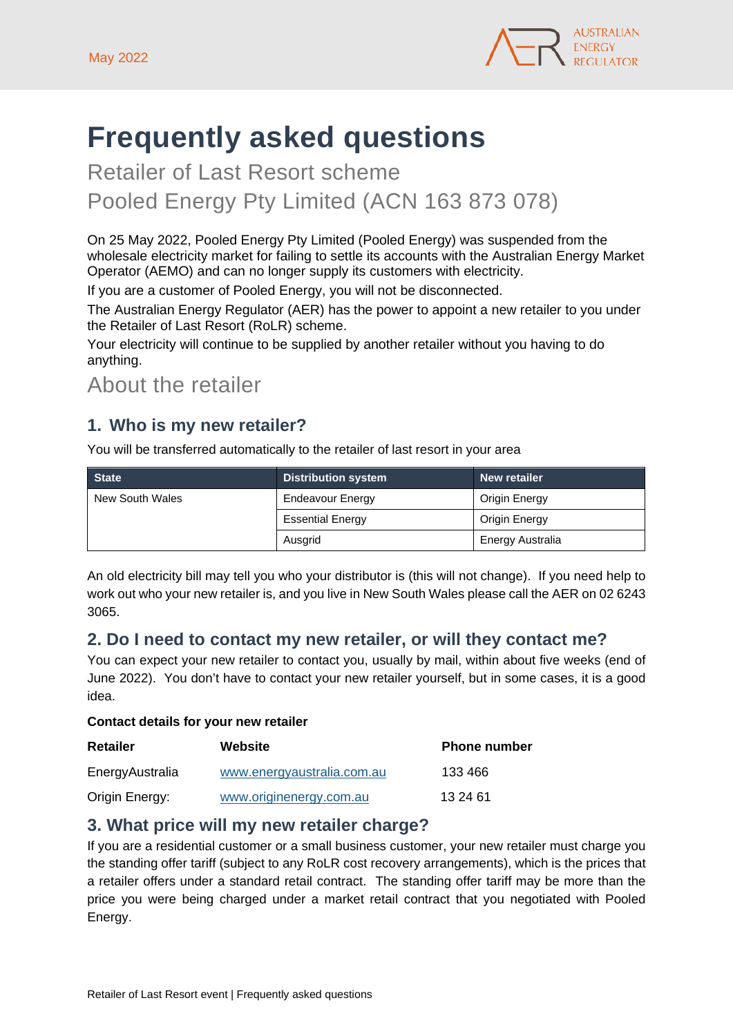

# **Frequently asked questions**

Retailer of Last Resort scheme Pooled Energy Pty Limited (ACN 163 873 078)

On 25 May 2022, Pooled Energy Pty Limited (Pooled Energy) was suspended from the wholesale electricity market for failing to settle its accounts with the Australian Energy Market Operator (AEMO) and can no longer supply its customers with electricity.

If you are a customer of Pooled Energy, you will not be disconnected.

The Australian Energy Regulator (AER) has the power to appoint a new retailer to you under the Retailer of Last Resort (RoLR) scheme.

Your electricity will continue to be supplied by another retailer without you having to do anything.

About the retailer

### **1. Who is my new retailer?**

You will be transferred automatically to the retailer of last resort in your area

| <b>State</b>    | <b>Distribution system</b> | New retailer     |
|-----------------|----------------------------|------------------|
| New South Wales | Endeavour Energy           | Origin Energy    |
|                 | <b>Essential Energy</b>    | Origin Energy    |
|                 | Ausgrid                    | Energy Australia |

An old electricity bill may tell you who your distributor is (this will not change). If you need help to work out who your new retailer is, and you live in New South Wales please call the AER on 02 6243 3065.

#### **2. Do I need to contact my new retailer, or will they contact me?**

You can expect your new retailer to contact you, usually by mail, within about five weeks (end of June 2022). You don't have to contact your new retailer yourself, but in some cases, it is a good idea.

#### **Contact details for your new retailer**

| <b>Retailer</b> | Website                    | <b>Phone number</b> |
|-----------------|----------------------------|---------------------|
| EnergyAustralia | www.energyaustralia.com.au | 133 466             |
| Origin Energy:  | www.originenergy.com.au    | 13 24 61            |

#### **3. What price will my new retailer charge?**

If you are a residential customer or a small business customer, your new retailer must charge you the standing offer tariff (subject to any RoLR cost recovery arrangements), which is the prices that a retailer offers under a standard retail contract. The standing offer tariff may be more than the price you were being charged under a market retail contract that you negotiated with Pooled Energy.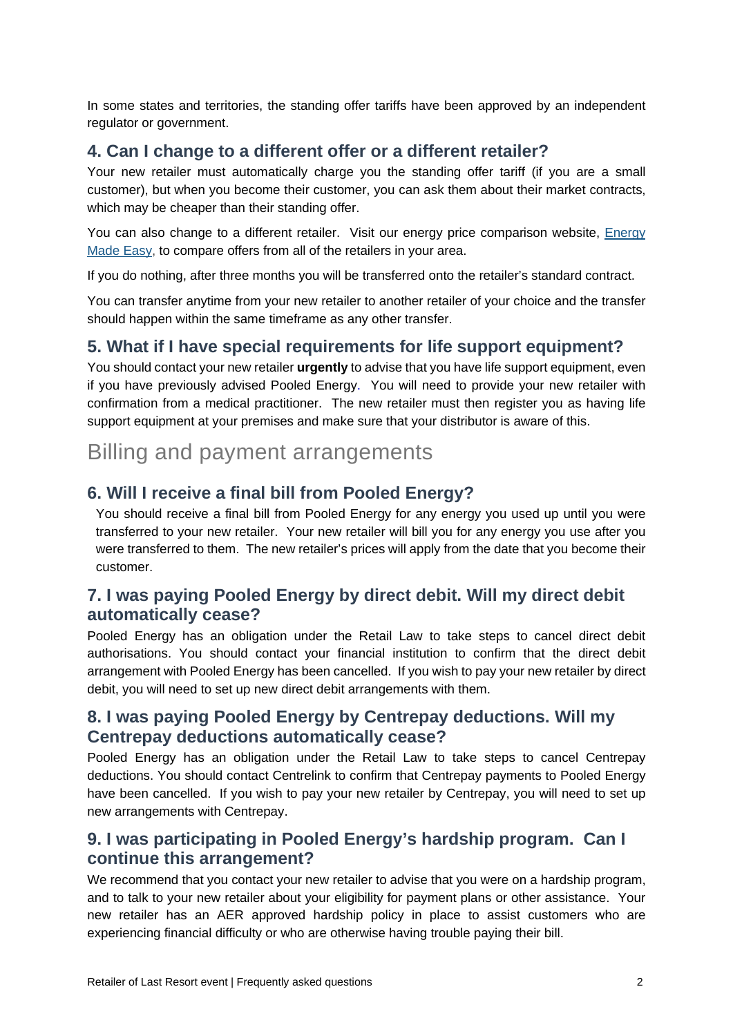In some states and territories, the standing offer tariffs have been approved by an independent regulator or government.

#### **4. Can I change to a different offer or a different retailer?**

Your new retailer must automatically charge you the standing offer tariff (if you are a small customer), but when you become their customer, you can ask them about their market contracts, which may be cheaper than their standing offer.

You can also change to a different retailer. Visit our energy price comparison website, Energy [Made Easy,](https://www.energymadeeasy.gov.au/) to compare offers from all of the retailers in your area.

If you do nothing, after three months you will be transferred onto the retailer's standard contract.

You can transfer anytime from your new retailer to another retailer of your choice and the transfer should happen within the same timeframe as any other transfer.

#### **5. What if I have special requirements for life support equipment?**

You should contact your new retailer **urgently** to advise that you have life support equipment, even if you have previously advised Pooled Energy. You will need to provide your new retailer with confirmation from a medical practitioner. The new retailer must then register you as having life support equipment at your premises and make sure that your distributor is aware of this.

## Billing and payment arrangements

#### **6. Will I receive a final bill from Pooled Energy?**

You should receive a final bill from Pooled Energy for any energy you used up until you were transferred to your new retailer. Your new retailer will bill you for any energy you use after you were transferred to them. The new retailer's prices will apply from the date that you become their customer.

#### **7. I was paying Pooled Energy by direct debit. Will my direct debit automatically cease?**

Pooled Energy has an obligation under the Retail Law to take steps to cancel direct debit authorisations. You should contact your financial institution to confirm that the direct debit arrangement with Pooled Energy has been cancelled. If you wish to pay your new retailer by direct debit, you will need to set up new direct debit arrangements with them.

#### **8. I was paying Pooled Energy by Centrepay deductions. Will my Centrepay deductions automatically cease?**

Pooled Energy has an obligation under the Retail Law to take steps to cancel Centrepay deductions. You should contact Centrelink to confirm that Centrepay payments to Pooled Energy have been cancelled. If you wish to pay your new retailer by Centrepay, you will need to set up new arrangements with Centrepay.

#### **9. I was participating in Pooled Energy's hardship program. Can I continue this arrangement?**

We recommend that you contact your new retailer to advise that you were on a hardship program, and to talk to your new retailer about your eligibility for payment plans or other assistance. Your new retailer has an AER approved hardship policy in place to assist customers who are experiencing financial difficulty or who are otherwise having trouble paying their bill.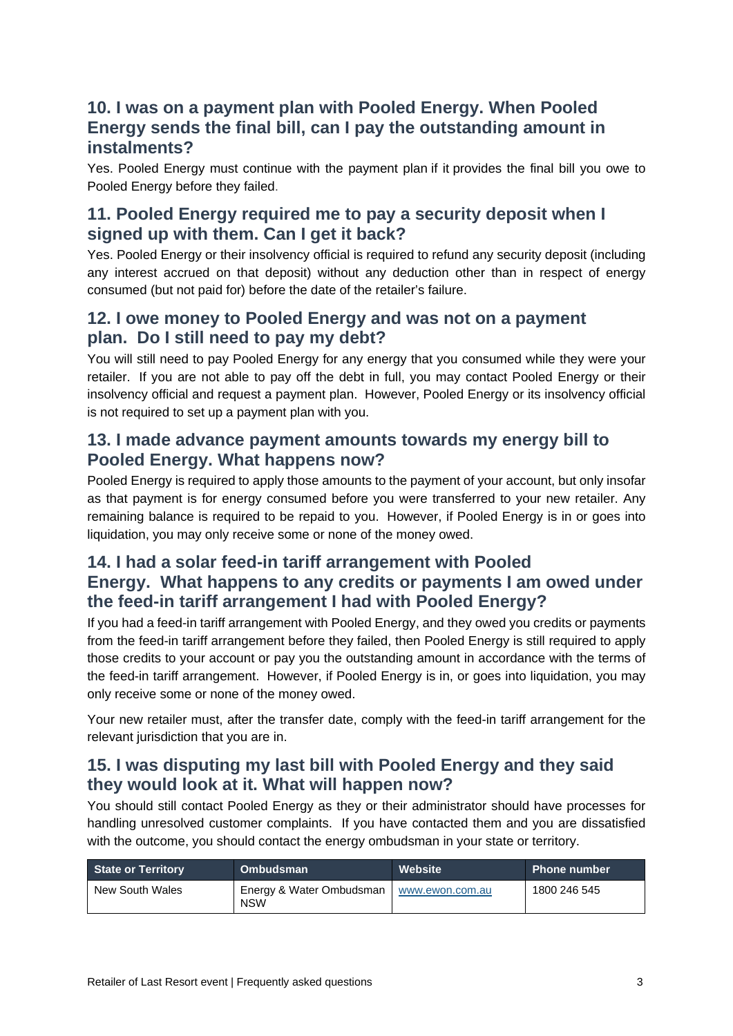#### **10. I was on a payment plan with Pooled Energy. When Pooled Energy sends the final bill, can I pay the outstanding amount in instalments?**

Yes. Pooled Energy must continue with the payment plan if it provides the final bill you owe to Pooled Energy before they failed.

#### **11. Pooled Energy required me to pay a security deposit when I signed up with them. Can I get it back?**

Yes. Pooled Energy or their insolvency official is required to refund any security deposit (including any interest accrued on that deposit) without any deduction other than in respect of energy consumed (but not paid for) before the date of the retailer's failure.

#### **12. I owe money to Pooled Energy and was not on a payment plan. Do I still need to pay my debt?**

You will still need to pay Pooled Energy for any energy that you consumed while they were your retailer. If you are not able to pay off the debt in full, you may contact Pooled Energy or their insolvency official and request a payment plan. However, Pooled Energy or its insolvency official is not required to set up a payment plan with you.

#### **13. I made advance payment amounts towards my energy bill to Pooled Energy. What happens now?**

Pooled Energy is required to apply those amounts to the payment of your account, but only insofar as that payment is for energy consumed before you were transferred to your new retailer. Any remaining balance is required to be repaid to you. However, if Pooled Energy is in or goes into liquidation, you may only receive some or none of the money owed.

#### **14. I had a solar feed-in tariff arrangement with Pooled Energy. What happens to any credits or payments I am owed under the feed-in tariff arrangement I had with Pooled Energy?**

If you had a feed-in tariff arrangement with Pooled Energy, and they owed you credits or payments from the feed-in tariff arrangement before they failed, then Pooled Energy is still required to apply those credits to your account or pay you the outstanding amount in accordance with the terms of the feed-in tariff arrangement. However, if Pooled Energy is in, or goes into liquidation, you may only receive some or none of the money owed.

Your new retailer must, after the transfer date, comply with the feed-in tariff arrangement for the relevant jurisdiction that you are in.

#### **15. I was disputing my last bill with Pooled Energy and they said they would look at it. What will happen now?**

You should still contact Pooled Energy as they or their administrator should have processes for handling unresolved customer complaints. If you have contacted them and you are dissatisfied with the outcome, you should contact the energy ombudsman in your state or territory.

| <b>State or Territory</b> | <b>Ombudsman</b>                       | Website         | Phone number |
|---------------------------|----------------------------------------|-----------------|--------------|
| New South Wales           | Energy & Water Ombudsman<br><b>NSW</b> | www.ewon.com.au | 1800 246 545 |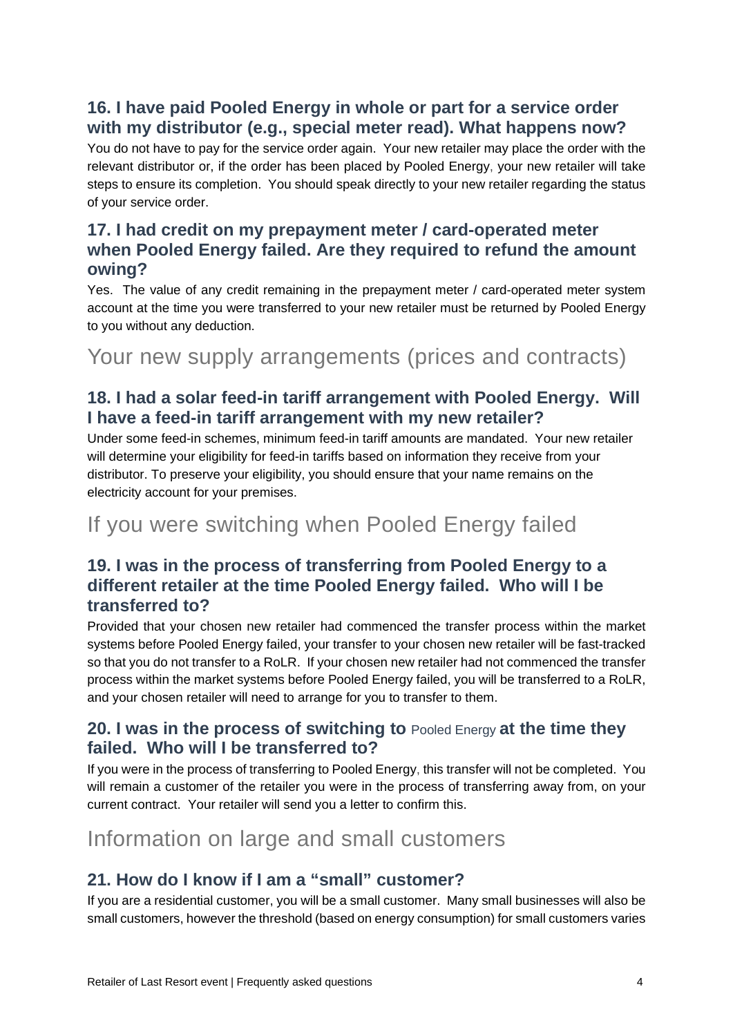### **16. I have paid Pooled Energy in whole or part for a service order with my distributor (e.g., special meter read). What happens now?**

You do not have to pay for the service order again. Your new retailer may place the order with the relevant distributor or, if the order has been placed by Pooled Energy, your new retailer will take steps to ensure its completion. You should speak directly to your new retailer regarding the status of your service order.

#### **17. I had credit on my prepayment meter / card-operated meter when Pooled Energy failed. Are they required to refund the amount owing?**

Yes. The value of any credit remaining in the prepayment meter / card-operated meter system account at the time you were transferred to your new retailer must be returned by Pooled Energy to you without any deduction.

## Your new supply arrangements (prices and contracts)

#### **18. I had a solar feed-in tariff arrangement with Pooled Energy. Will I have a feed-in tariff arrangement with my new retailer?**

Under some feed-in schemes, minimum feed-in tariff amounts are mandated. Your new retailer will determine your eligibility for feed-in tariffs based on information they receive from your distributor. To preserve your eligibility, you should ensure that your name remains on the electricity account for your premises.

## If you were switching when Pooled Energy failed

#### **19. I was in the process of transferring from Pooled Energy to a different retailer at the time Pooled Energy failed. Who will I be transferred to?**

Provided that your chosen new retailer had commenced the transfer process within the market systems before Pooled Energy failed, your transfer to your chosen new retailer will be fast-tracked so that you do not transfer to a RoLR. If your chosen new retailer had not commenced the transfer process within the market systems before Pooled Energy failed, you will be transferred to a RoLR, and your chosen retailer will need to arrange for you to transfer to them.

#### **20. I was in the process of switching to** Pooled Energy **at the time they failed. Who will I be transferred to?**

If you were in the process of transferring to Pooled Energy, this transfer will not be completed. You will remain a customer of the retailer you were in the process of transferring away from, on your current contract. Your retailer will send you a letter to confirm this.

## Information on large and small customers

#### **21. How do I know if I am a "small" customer?**

If you are a residential customer, you will be a small customer. Many small businesses will also be small customers, however the threshold (based on energy consumption) for small customers varies